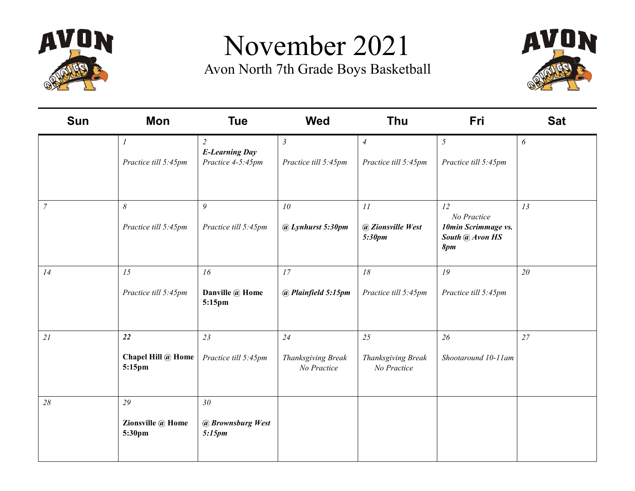

## November 2021

Avon North 7th Grade Boys Basketball



| <b>Sun</b>       | Mon                                           | <b>Tue</b>                                                   | <b>Wed</b>                              | <b>Thu</b>                              | Fri                                                                | <b>Sat</b> |
|------------------|-----------------------------------------------|--------------------------------------------------------------|-----------------------------------------|-----------------------------------------|--------------------------------------------------------------------|------------|
|                  | $\boldsymbol{l}$<br>Practice till 5:45pm      | $\overline{2}$<br><b>E-Learning Day</b><br>Practice 4-5:45pm | $\mathfrak{Z}$<br>Practice till 5:45pm  | $\overline{4}$<br>Practice till 5:45pm  | $\sqrt{2}$<br>Practice till 5:45pm                                 | 6          |
| $\boldsymbol{7}$ | $\boldsymbol{\delta}$<br>Practice till 5:45pm | 9<br>Practice till 5:45pm                                    | 10<br>@ Lynhurst 5:30pm                 | II<br>@ Zionsville West<br>5:30pm       | 12<br>No Practice<br>10min Scrimmage vs.<br>South @ Avon HS<br>8pm | 13         |
| 14               | 15<br>Practice till 5:45pm                    | 16<br>Danville @ Home<br>5:15pm                              | 17<br>@ Plainfield 5:15pm               | $18$<br>Practice till 5:45pm            | 19<br>Practice till 5:45pm                                         | 20         |
| 21               | 22<br>Chapel Hill @ Home<br>5:15pm            | 23<br>Practice till 5:45pm                                   | 24<br>Thanksgiving Break<br>No Practice | 25<br>Thanksgiving Break<br>No Practice | 26<br>Shootaround 10-11am                                          | 27         |
| 28               | 29<br>Zionsville @ Home<br>5:30pm             | 30 <sub>2</sub><br>@ Brownsburg West<br>5:15pm               |                                         |                                         |                                                                    |            |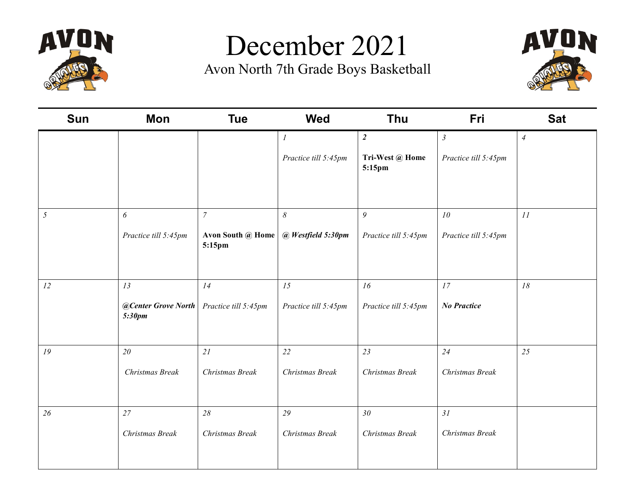

## December 2021

Avon North 7th Grade Boys Basketball



| Sun        | Mon                                                       | <b>Tue</b>                  | <b>Wed</b>                 | Thu                       | Fri                  | <b>Sat</b>     |
|------------|-----------------------------------------------------------|-----------------------------|----------------------------|---------------------------|----------------------|----------------|
|            |                                                           |                             | $\boldsymbol{l}$           | $\boldsymbol{2}$          | $\mathfrak{Z}$       | $\overline{4}$ |
|            |                                                           |                             | Practice till 5:45pm       | Tri-West @ Home<br>5:15pm | Practice till 5:45pm |                |
| 5          | $\boldsymbol{\delta}$                                     | $\overline{7}$              | $\boldsymbol{\mathcal{S}}$ | 9                         | 10                   | 11             |
|            | Practice till 5:45pm                                      | Avon South @ Home<br>5:15pm | @ Westfield 5:30pm         | Practice till 5:45pm      | Practice till 5:45pm |                |
| 12         | 13                                                        | 14                          | 15                         | 16                        | 17                   | 18             |
|            | <b>@Center Grove North</b> Practice till 5:45pm<br>5:30pm |                             | Practice till 5:45pm       | Practice till 5:45pm      | <b>No Practice</b>   |                |
| ${\it I9}$ | 20                                                        | 21                          | 22                         | 23                        | 24                   | 25             |
|            | Christmas Break                                           | Christmas Break             | Christmas Break            | Christmas Break           | Christmas Break      |                |
| $26\,$     | 27                                                        | $28\,$                      | 29                         | $30\,$                    | 31                   |                |
|            | Christmas Break                                           | Christmas Break             | Christmas Break            | Christmas Break           | Christmas Break      |                |